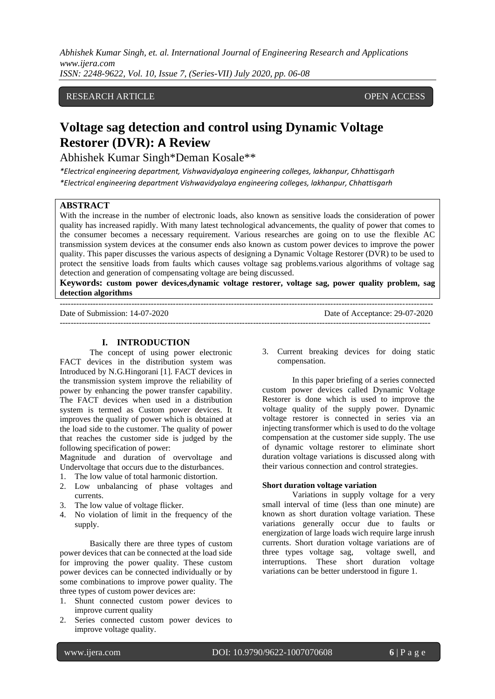*Abhishek Kumar Singh, et. al. International Journal of Engineering Research and Applications www.ijera.com ISSN: 2248-9622, Vol. 10, Issue 7, (Series-VII) July 2020, pp. 06-08*

## RESEARCH ARTICLE OPEN ACCESS

# **Voltage sag detection and control using Dynamic Voltage Restorer (DVR): A Review**

Abhishek Kumar Singh\*Deman Kosale\*\*

*\*Electrical engineering department, Vishwavidyalaya engineering colleges, lakhanpur, Chhattisgarh \*Electrical engineering department Vishwavidyalaya engineering colleges, lakhanpur, Chhattisgarh*

## **ABSTRACT**

With the increase in the number of electronic loads, also known as sensitive loads the consideration of power quality has increased rapidly. With many latest technological advancements, the quality of power that comes to the consumer becomes a necessary requirement. Various researches are going on to use the flexible AC transmission system devices at the consumer ends also known as custom power devices to improve the power quality. This paper discusses the various aspects of designing a Dynamic Voltage Restorer (DVR) to be used to protect the sensitive loads from faults which causes voltage sag problems.various algorithms of voltage sag detection and generation of compensating voltage are being discussed.

**Keywords: custom power devices,dynamic voltage restorer, voltage sag, power quality problem, sag detection algorithms**

| Date of Submission: 14-07-2020 | Date of Acceptance: 29-07-2020 |
|--------------------------------|--------------------------------|
|                                |                                |

#### **I. INTRODUCTION**

The concept of using power electronic FACT devices in the distribution system was Introduced by N.G.Hingorani [1]. FACT devices in the transmission system improve the reliability of power by enhancing the power transfer capability. The FACT devices when used in a distribution system is termed as Custom power devices. It improves the quality of power which is obtained at the load side to the customer. The quality of power that reaches the customer side is judged by the following specification of power:

Magnitude and duration of overvoltage and Undervoltage that occurs due to the disturbances.

- 1. The low value of total harmonic distortion.
- 2. Low unbalancing of phase voltages and currents.
- 3. The low value of voltage flicker.
- 4. No violation of limit in the frequency of the supply.

Basically there are three types of custom power devices that can be connected at the load side for improving the power quality. These custom power devices can be connected individually or by some combinations to improve power quality. The three types of custom power devices are:

- 1. Shunt connected custom power devices to improve current quality
- 2. Series connected custom power devices to improve voltage quality.

3. Current breaking devices for doing static compensation.

In this paper briefing of a series connected custom power devices called Dynamic Voltage Restorer is done which is used to improve the voltage quality of the supply power. Dynamic voltage restorer is connected in series via an injecting transformer which is used to do the voltage compensation at the customer side supply. The use of dynamic voltage restorer to eliminate short duration voltage variations is discussed along with their various connection and control strategies.

#### **Short duration voltage variation**

Variations in supply voltage for a very small interval of time (less than one minute) are known as short duration voltage variation. These variations generally occur due to faults or energization of large loads wich require large inrush currents. Short duration voltage variations are of three types voltage sag, voltage swell, and interruptions. These short duration voltage variations can be better understood in figure 1.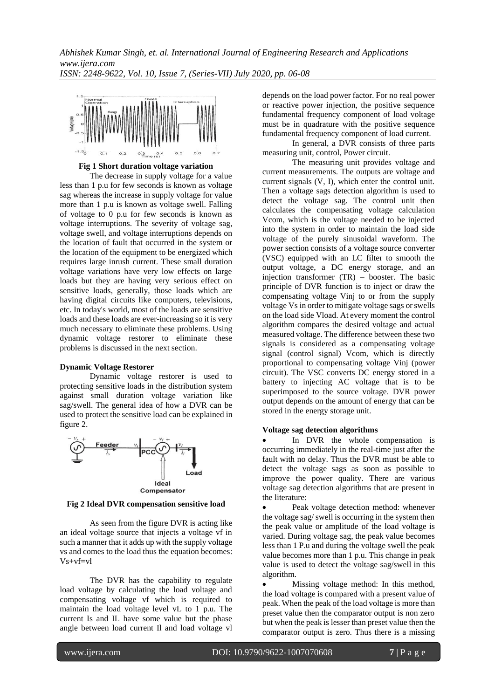*Abhishek Kumar Singh, et. al. International Journal of Engineering Research and Applications www.ijera.com ISSN: 2248-9622, Vol. 10, Issue 7, (Series-VII) July 2020, pp. 06-08*



**Fig 1 Short duration voltage variation**

The decrease in supply voltage for a value less than 1 p.u for few seconds is known as voltage sag whereas the increase in supply voltage for value more than 1 p.u is known as voltage swell. Falling of voltage to 0 p.u for few seconds is known as voltage interruptions. The severity of voltage sag, voltage swell, and voltage interruptions depends on the location of fault that occurred in the system or the location of the equipment to be energized which requires large inrush current. These small duration voltage variations have very low effects on large loads but they are having very serious effect on sensitive loads, generally, those loads which are having digital circuits like computers, televisions, etc. In today's world, most of the loads are sensitive loads and these loads are ever-increasing so it is very much necessary to eliminate these problems. Using dynamic voltage restorer to eliminate these problems is discussed in the next section.

#### **Dynamic Voltage Restorer**

Dynamic voltage restorer is used to protecting sensitive loads in the distribution system against small duration voltage variation like sag/swell. The general idea of how a DVR can be used to protect the sensitive load can be explained in figure 2.



**Fig 2 Ideal DVR compensation sensitive load**

As seen from the figure DVR is acting like an ideal voltage source that injects a voltage vf in such a manner that it adds up with the supply voltage vs and comes to the load thus the equation becomes: Vs+vf=vl

The DVR has the capability to regulate load voltage by calculating the load voltage and compensating voltage vf which is required to maintain the load voltage level vL to 1 p.u. The current Is and IL have some value but the phase angle between load current Il and load voltage vl

depends on the load power factor. For no real power or reactive power injection, the positive sequence fundamental frequency component of load voltage must be in quadrature with the positive sequence fundamental frequency component of load current.

In general, a DVR consists of three parts measuring unit, control, Power circuit.

The measuring unit provides voltage and current measurements. The outputs are voltage and current signals (V, I), which enter the control unit. Then a voltage sags detection algorithm is used to detect the voltage sag. The control unit then calculates the compensating voltage calculation Vcom, which is the voltage needed to be injected into the system in order to maintain the load side voltage of the purely sinusoidal waveform. The power section consists of a voltage source converter (VSC) equipped with an LC filter to smooth the output voltage, a DC energy storage, and an injection transformer (TR) – booster. The basic principle of DVR function is to inject or draw the compensating voltage Vinj to or from the supply voltage Vs in order to mitigate voltage sags or swells on the load side Vload. At every moment the control algorithm compares the desired voltage and actual measured voltage. The difference between these two signals is considered as a compensating voltage signal (control signal) Vcom, which is directly proportional to compensating voltage Vinj (power circuit). The VSC converts DC energy stored in a battery to injecting AC voltage that is to be superimposed to the source voltage. DVR power output depends on the amount of energy that can be stored in the energy storage unit.

#### **Voltage sag detection algorithms**

In DVR the whole compensation is occurring immediately in the real-time just after the fault with no delay. Thus the DVR must be able to detect the voltage sags as soon as possible to improve the power quality. There are various voltage sag detection algorithms that are present in the literature:

Peak voltage detection method: whenever the voltage sag/ swell is occurring in the system then the peak value or amplitude of the load voltage is varied. During voltage sag, the peak value becomes less than 1 P.u and during the voltage swell the peak value becomes more than 1 p.u. This change in peak value is used to detect the voltage sag/swell in this algorithm.

• Missing voltage method: In this method, the load voltage is compared with a present value of peak. When the peak of the load voltage is more than preset value then the comparator output is non zero but when the peak is lesser than preset value then the comparator output is zero. Thus there is a missing